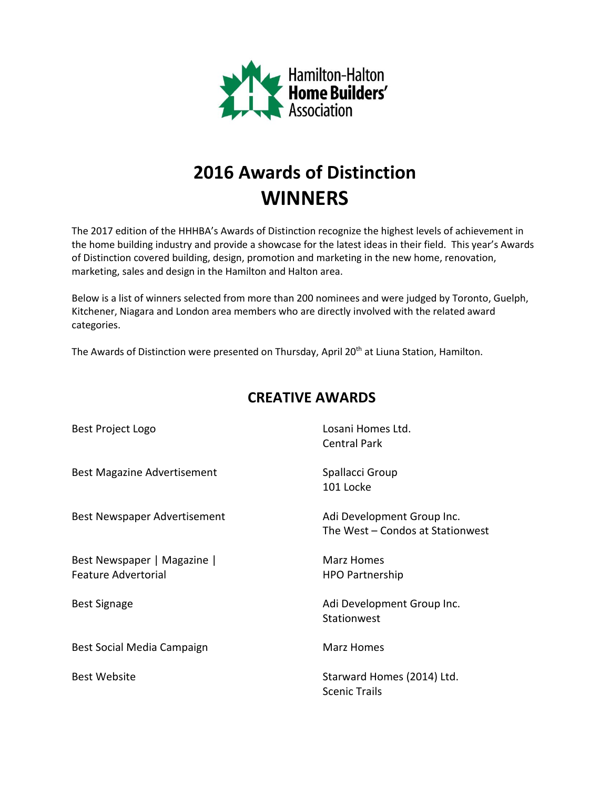

## **2016 Awards of Distinction WINNERS**

The 2017 edition of the HHHBA's Awards of Distinction recognize the highest levels of achievement in the home building industry and provide a showcase for the latest ideas in their field. This year's Awards of Distinction covered building, design, promotion and marketing in the new home, renovation, marketing, sales and design in the Hamilton and Halton area.

Below is a list of winners selected from more than 200 nominees and were judged by Toronto, Guelph, Kitchener, Niagara and London area members who are directly involved with the related award categories.

The Awards of Distinction were presented on Thursday, April 20<sup>th</sup> at Liuna Station, Hamilton.

| Best Project Logo                                         | Losani Homes Ltd.<br><b>Central Park</b>                       |
|-----------------------------------------------------------|----------------------------------------------------------------|
| <b>Best Magazine Advertisement</b>                        | Spallacci Group<br>101 Locke                                   |
| <b>Best Newspaper Advertisement</b>                       | Adi Development Group Inc.<br>The West - Condos at Stationwest |
| Best Newspaper   Magazine  <br><b>Feature Advertorial</b> | Marz Homes<br><b>HPO Partnership</b>                           |
| <b>Best Signage</b>                                       | Adi Development Group Inc.<br>Stationwest                      |
| Best Social Media Campaign                                | Marz Homes                                                     |
| <b>Best Website</b>                                       | Starward Homes (2014) Ltd.<br><b>Scenic Trails</b>             |

## **CREATIVE AWARDS**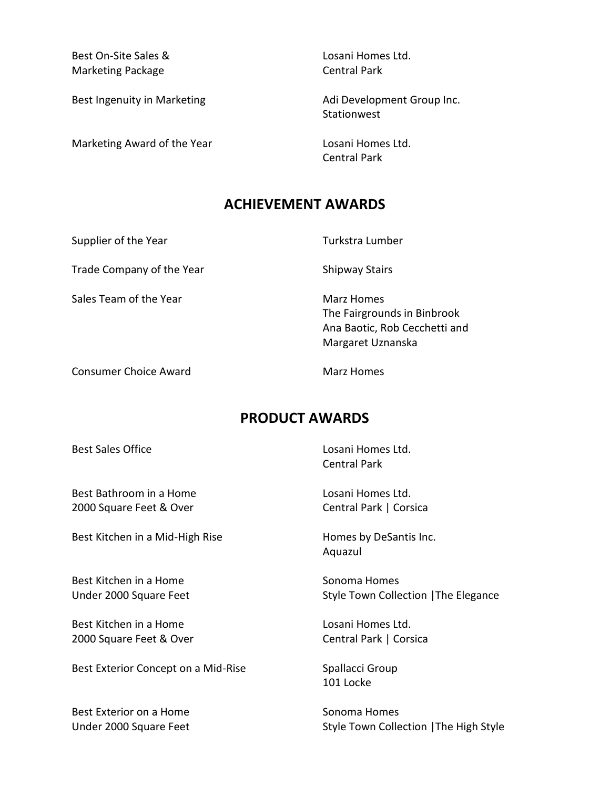Best On-Site Sales & Losani Homes Ltd. Marketing Package Central Park

Marketing Award of the Year **Losani Homes Ltd.** 

Best Ingenuity in Marketing Theorem Adi Development Group Inc. Stationwest

Central Park

## **ACHIEVEMENT AWARDS**

Supplier of the Year Turkstra Lumber

Trade Company of the Year Shipway Stairs

Sales Team of the Year Marz Homes

Consumer Choice Award **Marz Homes** Consumer Choice Award

The Fairgrounds in Binbrook Ana Baotic, Rob Cecchetti and Margaret Uznanska

## **PRODUCT AWARDS**

Best Bathroom in a Home Letter Cosani Homes Ltd. 2000 Square Feet & Over Central Park | Corsica

Best Kitchen in a Mid-High Rise Homes by DeSantis Inc.

Best Kitchen in a Home Sonoma Homes

Best Kitchen in a Home Losani Homes Ltd. 2000 Square Feet & Over Central Park | Corsica

Best Exterior Concept on a Mid-Rise Spallacci Group

Best Exterior on a Home Sonoma Homes

Best Sales Office **Losani Homes Ltd.** Central Park

Aquazul

Under 2000 Square Feet Style Town Collection | The Elegance

101 Locke

Under 2000 Square Feet Style Town Collection | The High Style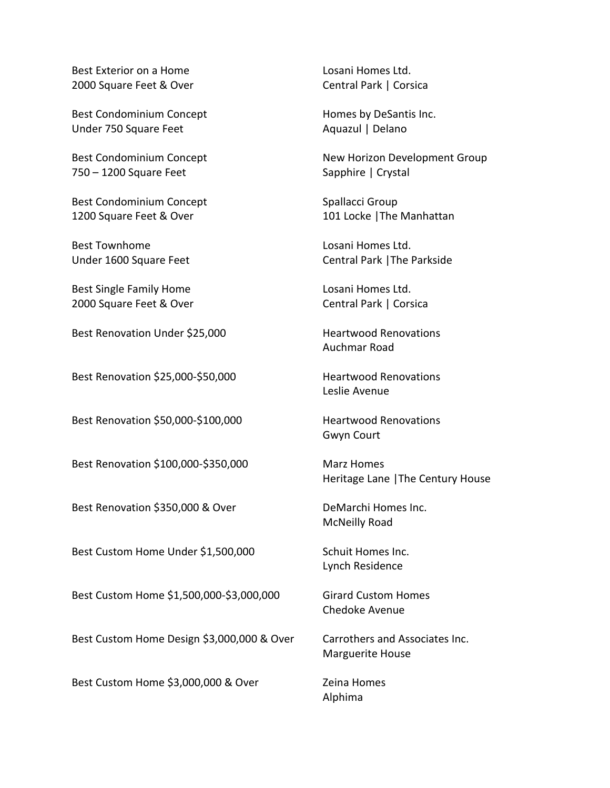Best Exterior on a Home Losani Homes Ltd. 2000 Square Feet & Over Central Park | Corsica

Best Condominium Concept Homes by DeSantis Inc. Under 750 Square Feet Aquazul | Delano

750 – 1200 Square Feet Sapphire | Crystal

Best Condominium Concept Spallacci Group 1200 Square Feet & Over 101 Locke | The Manhattan

Best Townhome **Let up to a loss of the United States** Loss and Homes Ltd.

Best Single Family Home **Losani Homes Ltd.** 2000 Square Feet & Over Central Park | Corsica

Best Renovation Under \$25,000 Heartwood Renovations

Best Renovation \$25,000-\$50,000 Heartwood Renovations

Best Renovation \$50,000-\$100,000 Heartwood Renovations

Best Renovation \$100,000-\$350,000 Marz Homes

Best Renovation \$350,000 & Over DeMarchi Homes Inc.

Best Custom Home Under \$1,500,000 Schuit Homes Inc.

Best Custom Home \$1,500,000-\$3,000,000 Girard Custom Homes

Best Custom Home Design \$3,000,000 & Over Carrothers and Associates Inc.

Best Custom Home \$3,000,000 & Over Zeina Homes

Best Condominium Concept New Horizon Development Group

Under 1600 Square Feet Central Park |The Parkside

Auchmar Road

Leslie Avenue

Gwyn Court

Heritage Lane |The Century House

McNeilly Road

Lynch Residence

Chedoke Avenue

Marguerite House

Alphima